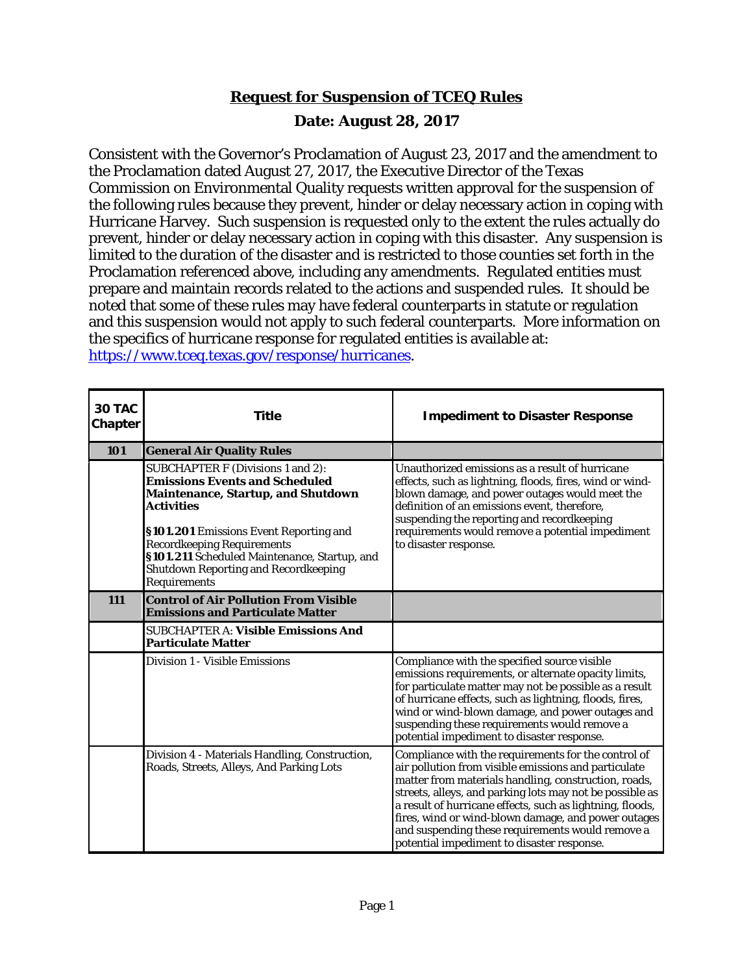## **Request for Suspension of TCEQ Rules Date: August 28, 2017**

Consistent with the Governor's Proclamation of August 23, 2017 and the amendment to the Proclamation dated August 27, 2017, the Executive Director of the Texas Commission on Environmental Quality requests written approval for the suspension of the following rules because they prevent, hinder or delay necessary action in coping with Hurricane Harvey. Such suspension is requested only to the extent the rules actually do prevent, hinder or delay necessary action in coping with this disaster. Any suspension is limited to the duration of the disaster and is restricted to those counties set forth in the Proclamation referenced above, including any amendments. Regulated entities must prepare and maintain records related to the actions and suspended rules. It should be noted that some of these rules may have federal counterparts in statute or regulation and this suspension would not apply to such federal counterparts. More information on the specifics of hurricane response for regulated entities is available at: [https://www.tceq.texas.gov/response/hurricanes.](https://www.tceq.texas.gov/response/hurricanes)

| 30 TAC<br><b>Chapter</b> | <b>Title</b>                                                                                                                                                                                                                                                                                                                               | <b>Impediment to Disaster Response</b>                                                                                                                                                                                                                                                                                                                                                                                                                |
|--------------------------|--------------------------------------------------------------------------------------------------------------------------------------------------------------------------------------------------------------------------------------------------------------------------------------------------------------------------------------------|-------------------------------------------------------------------------------------------------------------------------------------------------------------------------------------------------------------------------------------------------------------------------------------------------------------------------------------------------------------------------------------------------------------------------------------------------------|
| 101                      | <b>General Air Quality Rules</b>                                                                                                                                                                                                                                                                                                           |                                                                                                                                                                                                                                                                                                                                                                                                                                                       |
|                          | SUBCHAPTER F (Divisions 1 and 2):<br><b>Emissions Events and Scheduled</b><br><b>Maintenance, Startup, and Shutdown</b><br><b>Activities</b><br>§101.201 Emissions Event Reporting and<br><b>Recordkeeping Requirements</b><br>§101.211 Scheduled Maintenance, Startup, and<br><b>Shutdown Reporting and Recordkeeping</b><br>Requirements | Unauthorized emissions as a result of hurricane<br>effects, such as lightning, floods, fires, wind or wind-<br>blown damage, and power outages would meet the<br>definition of an emissions event, therefore,<br>suspending the reporting and recordkeeping<br>requirements would remove a potential impediment<br>to disaster response.                                                                                                              |
| <b>111</b>               | <b>Control of Air Pollution From Visible</b><br><b>Emissions and Particulate Matter</b>                                                                                                                                                                                                                                                    |                                                                                                                                                                                                                                                                                                                                                                                                                                                       |
|                          | <b>SUBCHAPTER A: Visible Emissions And</b><br><b>Particulate Matter</b>                                                                                                                                                                                                                                                                    |                                                                                                                                                                                                                                                                                                                                                                                                                                                       |
|                          | Division 1 - Visible Emissions                                                                                                                                                                                                                                                                                                             | Compliance with the specified source visible<br>emissions requirements, or alternate opacity limits,<br>for particulate matter may not be possible as a result<br>of hurricane effects, such as lightning, floods, fires,<br>wind or wind-blown damage, and power outages and<br>suspending these requirements would remove a<br>potential impediment to disaster response.                                                                           |
|                          | Division 4 - Materials Handling, Construction,<br>Roads, Streets, Alleys, And Parking Lots                                                                                                                                                                                                                                                 | Compliance with the requirements for the control of<br>air pollution from visible emissions and particulate<br>matter from materials handling, construction, roads,<br>streets, alleys, and parking lots may not be possible as<br>a result of hurricane effects, such as lightning, floods,<br>fires, wind or wind-blown damage, and power outages<br>and suspending these requirements would remove a<br>potential impediment to disaster response. |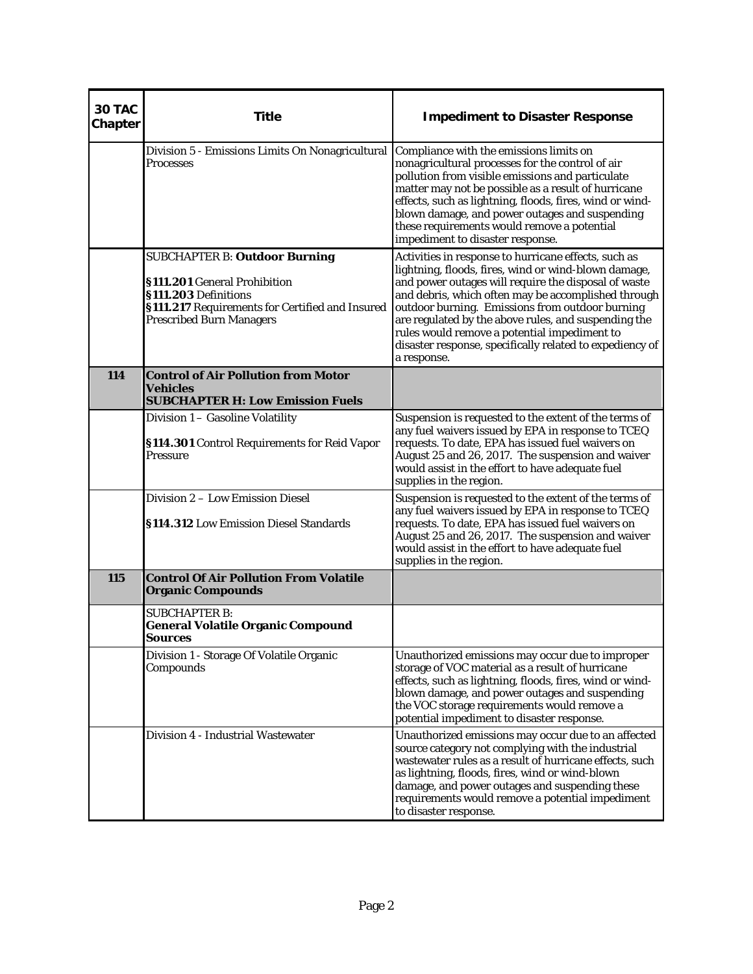| 30 TAC<br>Chapter | <b>Title</b>                                                                                                                                                                       | <b>Impediment to Disaster Response</b>                                                                                                                                                                                                                                                                                                                                                                                                                            |
|-------------------|------------------------------------------------------------------------------------------------------------------------------------------------------------------------------------|-------------------------------------------------------------------------------------------------------------------------------------------------------------------------------------------------------------------------------------------------------------------------------------------------------------------------------------------------------------------------------------------------------------------------------------------------------------------|
|                   | Division 5 - Emissions Limits On Nonagricultural<br><b>Processes</b>                                                                                                               | Compliance with the emissions limits on<br>nonagricultural processes for the control of air<br>pollution from visible emissions and particulate<br>matter may not be possible as a result of hurricane<br>effects, such as lightning, floods, fires, wind or wind-<br>blown damage, and power outages and suspending<br>these requirements would remove a potential<br>impediment to disaster response.                                                           |
|                   | <b>SUBCHAPTER B: Outdoor Burning</b><br>§111.201 General Prohibition<br>§111.203 Definitions<br>§111.217 Requirements for Certified and Insured<br><b>Prescribed Burn Managers</b> | Activities in response to hurricane effects, such as<br>lightning, floods, fires, wind or wind-blown damage,<br>and power outages will require the disposal of waste<br>and debris, which often may be accomplished through<br>outdoor burning. Emissions from outdoor burning<br>are regulated by the above rules, and suspending the<br>rules would remove a potential impediment to<br>disaster response, specifically related to expediency of<br>a response. |
| 114               | <b>Control of Air Pollution from Motor</b><br><b>Vehicles</b><br><b>SUBCHAPTER H: Low Emission Fuels</b>                                                                           |                                                                                                                                                                                                                                                                                                                                                                                                                                                                   |
|                   | Division 1 - Gasoline Volatility<br>§114.301 Control Requirements for Reid Vapor<br><b>Pressure</b>                                                                                | Suspension is requested to the extent of the terms of<br>any fuel waivers issued by EPA in response to TCEQ<br>requests. To date, EPA has issued fuel waivers on<br>August 25 and 26, 2017. The suspension and waiver<br>would assist in the effort to have adequate fuel<br>supplies in the region.                                                                                                                                                              |
|                   | Division 2 - Low Emission Diesel<br>§114.312 Low Emission Diesel Standards                                                                                                         | Suspension is requested to the extent of the terms of<br>any fuel waivers issued by EPA in response to TCEQ<br>requests. To date, EPA has issued fuel waivers on<br>August 25 and 26, 2017. The suspension and waiver<br>would assist in the effort to have adequate fuel<br>supplies in the region.                                                                                                                                                              |
| 115               | <b>Control Of Air Pollution From Volatile</b><br><b>Organic Compounds</b>                                                                                                          |                                                                                                                                                                                                                                                                                                                                                                                                                                                                   |
|                   | <b>SUBCHAPTER B:</b><br><b>General Volatile Organic Compound</b><br><b>Sources</b>                                                                                                 |                                                                                                                                                                                                                                                                                                                                                                                                                                                                   |
|                   | Division 1 - Storage Of Volatile Organic<br>Compounds                                                                                                                              | Unauthorized emissions may occur due to improper<br>storage of VOC material as a result of hurricane<br>effects, such as lightning, floods, fires, wind or wind-<br>blown damage, and power outages and suspending<br>the VOC storage requirements would remove a<br>potential impediment to disaster response.                                                                                                                                                   |
|                   | Division 4 - Industrial Wastewater                                                                                                                                                 | Unauthorized emissions may occur due to an affected<br>source category not complying with the industrial<br>wastewater rules as a result of hurricane effects, such<br>as lightning, floods, fires, wind or wind-blown<br>damage, and power outages and suspending these<br>requirements would remove a potential impediment<br>to disaster response.                                                                                                             |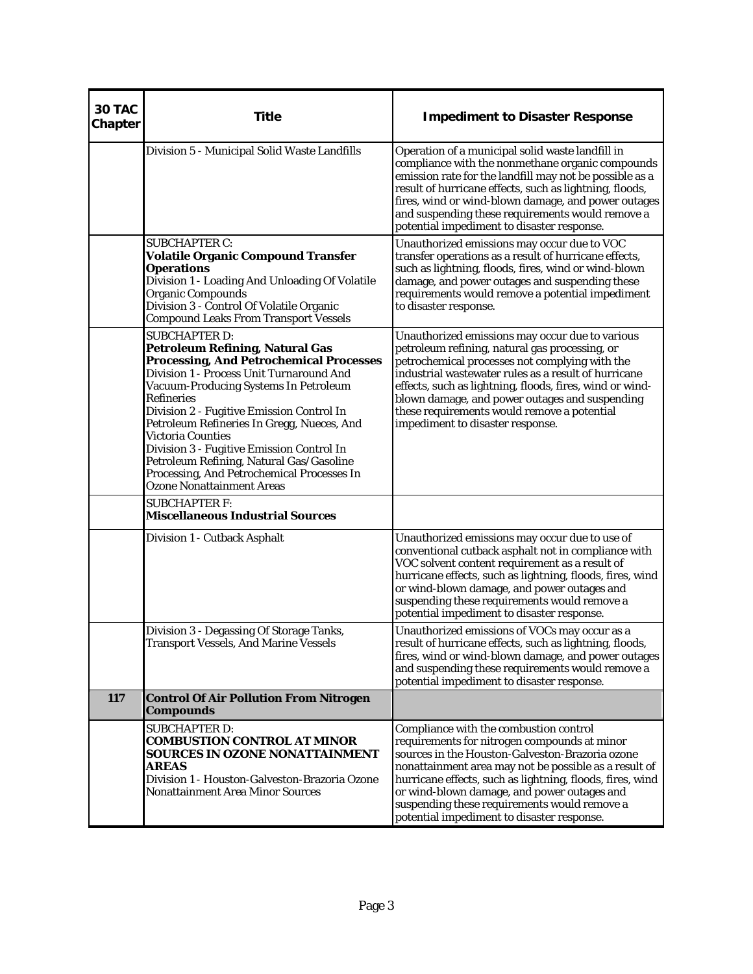| 30 TAC<br>Chapter | <b>Title</b>                                                                                                                                                                                                                                                                                                                                                                                                                                                                                                                 | <b>Impediment to Disaster Response</b>                                                                                                                                                                                                                                                                                                                                                                       |
|-------------------|------------------------------------------------------------------------------------------------------------------------------------------------------------------------------------------------------------------------------------------------------------------------------------------------------------------------------------------------------------------------------------------------------------------------------------------------------------------------------------------------------------------------------|--------------------------------------------------------------------------------------------------------------------------------------------------------------------------------------------------------------------------------------------------------------------------------------------------------------------------------------------------------------------------------------------------------------|
|                   | Division 5 - Municipal Solid Waste Landfills                                                                                                                                                                                                                                                                                                                                                                                                                                                                                 | Operation of a municipal solid waste landfill in<br>compliance with the nonmethane organic compounds<br>emission rate for the landfill may not be possible as a<br>result of hurricane effects, such as lightning, floods,<br>fires, wind or wind-blown damage, and power outages<br>and suspending these requirements would remove a<br>potential impediment to disaster response.                          |
|                   | <b>SUBCHAPTER C:</b><br><b>Volatile Organic Compound Transfer</b><br><b>Operations</b><br>Division 1 - Loading And Unloading Of Volatile<br><b>Organic Compounds</b><br>Division 3 - Control Of Volatile Organic<br><b>Compound Leaks From Transport Vessels</b>                                                                                                                                                                                                                                                             | Unauthorized emissions may occur due to VOC<br>transfer operations as a result of hurricane effects,<br>such as lightning, floods, fires, wind or wind-blown<br>damage, and power outages and suspending these<br>requirements would remove a potential impediment<br>to disaster response.                                                                                                                  |
|                   | <b>SUBCHAPTER D:</b><br><b>Petroleum Refining, Natural Gas</b><br><b>Processing, And Petrochemical Processes</b><br>Division 1 - Process Unit Turnaround And<br>Vacuum-Producing Systems In Petroleum<br><b>Refineries</b><br>Division 2 - Fugitive Emission Control In<br>Petroleum Refineries In Gregg, Nueces, And<br><b>Victoria Counties</b><br>Division 3 - Fugitive Emission Control In<br>Petroleum Refining, Natural Gas/Gasoline<br>Processing, And Petrochemical Processes In<br><b>Ozone Nonattainment Areas</b> | Unauthorized emissions may occur due to various<br>petroleum refining, natural gas processing, or<br>petrochemical processes not complying with the<br>industrial wastewater rules as a result of hurricane<br>effects, such as lightning, floods, fires, wind or wind-<br>blown damage, and power outages and suspending<br>these requirements would remove a potential<br>impediment to disaster response. |
|                   | <b>SUBCHAPTER F:</b><br><b>Miscellaneous Industrial Sources</b>                                                                                                                                                                                                                                                                                                                                                                                                                                                              |                                                                                                                                                                                                                                                                                                                                                                                                              |
|                   | Division 1 - Cutback Asphalt                                                                                                                                                                                                                                                                                                                                                                                                                                                                                                 | Unauthorized emissions may occur due to use of<br>conventional cutback asphalt not in compliance with<br>VOC solvent content requirement as a result of<br>hurricane effects, such as lightning, floods, fires, wind<br>or wind-blown damage, and power outages and<br>suspending these requirements would remove a<br>potential impediment to disaster response.                                            |
|                   | Division 3 - Degassing Of Storage Tanks,<br>Transport Vessels, And Marine Vessels                                                                                                                                                                                                                                                                                                                                                                                                                                            | Unauthorized emissions of VOCs may occur as a<br>result of hurricane effects, such as lightning, floods,<br>fires, wind or wind-blown damage, and power outages<br>and suspending these requirements would remove a<br>potential impediment to disaster response.                                                                                                                                            |
| 117               | <b>Control Of Air Pollution From Nitrogen</b><br><b>Compounds</b>                                                                                                                                                                                                                                                                                                                                                                                                                                                            |                                                                                                                                                                                                                                                                                                                                                                                                              |
|                   | <b>SUBCHAPTER D:</b><br><b>COMBUSTION CONTROL AT MINOR</b><br>SOURCES IN OZONE NONATTAINMENT<br><b>AREAS</b><br>Division 1 - Houston-Galveston-Brazoria Ozone<br><b>Nonattainment Area Minor Sources</b>                                                                                                                                                                                                                                                                                                                     | Compliance with the combustion control<br>requirements for nitrogen compounds at minor<br>sources in the Houston-Galveston-Brazoria ozone<br>nonattainment area may not be possible as a result of<br>hurricane effects, such as lightning, floods, fires, wind<br>or wind-blown damage, and power outages and<br>suspending these requirements would remove a<br>potential impediment to disaster response. |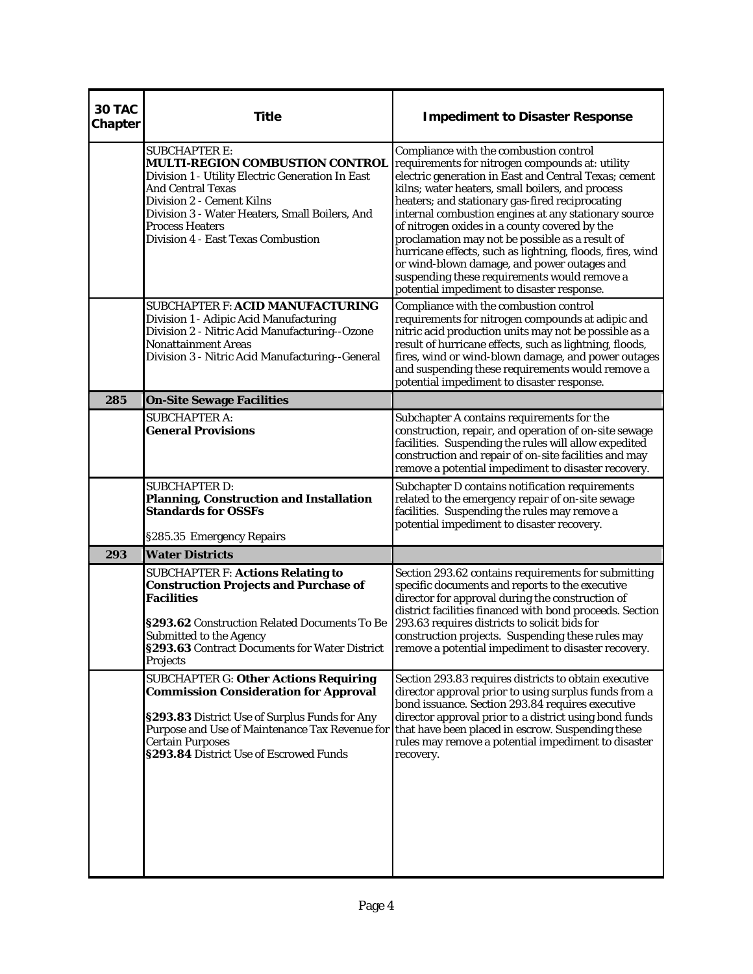| 30 TAC<br>Chapter | <b>Title</b>                                                                                                                                                                                                                                                                                  | <b>Impediment to Disaster Response</b>                                                                                                                                                                                                                                                                                                                                                                                                                                                                                                                                                                                          |
|-------------------|-----------------------------------------------------------------------------------------------------------------------------------------------------------------------------------------------------------------------------------------------------------------------------------------------|---------------------------------------------------------------------------------------------------------------------------------------------------------------------------------------------------------------------------------------------------------------------------------------------------------------------------------------------------------------------------------------------------------------------------------------------------------------------------------------------------------------------------------------------------------------------------------------------------------------------------------|
|                   | <b>SUBCHAPTER E:</b><br><b>MULTI-REGION COMBUSTION CONTROL</b><br>Division 1 - Utility Electric Generation In East<br><b>And Central Texas</b><br>Division 2 - Cement Kilns<br>Division 3 - Water Heaters, Small Boilers, And<br><b>Process Heaters</b><br>Division 4 - East Texas Combustion | Compliance with the combustion control<br>requirements for nitrogen compounds at: utility<br>electric generation in East and Central Texas; cement<br>kilns; water heaters, small boilers, and process<br>heaters; and stationary gas-fired reciprocating<br>internal combustion engines at any stationary source<br>of nitrogen oxides in a county covered by the<br>proclamation may not be possible as a result of<br>hurricane effects, such as lightning, floods, fires, wind<br>or wind-blown damage, and power outages and<br>suspending these requirements would remove a<br>potential impediment to disaster response. |
|                   | SUBCHAPTER F: ACID MANUFACTURING<br>Division 1 - Adipic Acid Manufacturing<br>Division 2 - Nitric Acid Manufacturing--Ozone<br><b>Nonattainment Areas</b><br>Division 3 - Nitric Acid Manufacturing--General                                                                                  | Compliance with the combustion control<br>requirements for nitrogen compounds at adipic and<br>nitric acid production units may not be possible as a<br>result of hurricane effects, such as lightning, floods,<br>fires, wind or wind-blown damage, and power outages<br>and suspending these requirements would remove a<br>potential impediment to disaster response.                                                                                                                                                                                                                                                        |
| 285               | <b>On-Site Sewage Facilities</b>                                                                                                                                                                                                                                                              |                                                                                                                                                                                                                                                                                                                                                                                                                                                                                                                                                                                                                                 |
|                   | <b>SUBCHAPTER A:</b><br><b>General Provisions</b>                                                                                                                                                                                                                                             | Subchapter A contains requirements for the<br>construction, repair, and operation of on-site sewage<br>facilities. Suspending the rules will allow expedited<br>construction and repair of on-site facilities and may<br>remove a potential impediment to disaster recovery.                                                                                                                                                                                                                                                                                                                                                    |
|                   | <b>SUBCHAPTER D:</b><br>Planning, Construction and Installation<br><b>Standards for OSSFs</b><br>§285.35 Emergency Repairs                                                                                                                                                                    | Subchapter D contains notification requirements<br>related to the emergency repair of on-site sewage<br>facilities. Suspending the rules may remove a<br>potential impediment to disaster recovery.                                                                                                                                                                                                                                                                                                                                                                                                                             |
| 293               | <b>Water Districts</b>                                                                                                                                                                                                                                                                        |                                                                                                                                                                                                                                                                                                                                                                                                                                                                                                                                                                                                                                 |
|                   | <b>SUBCHAPTER F: Actions Relating to</b><br><b>Construction Projects and Purchase of</b><br><b>Facilities</b><br>§293.62 Construction Related Documents To Be<br>Submitted to the Agency<br>§293.63 Contract Documents for Water District<br>Projects                                         | Section 293.62 contains requirements for submitting<br>specific documents and reports to the executive<br>director for approval during the construction of<br>district facilities financed with bond proceeds. Section<br>293.63 requires districts to solicit bids for<br>construction projects. Suspending these rules may<br>remove a potential impediment to disaster recovery.                                                                                                                                                                                                                                             |
|                   | <b>SUBCHAPTER G: Other Actions Requiring</b><br><b>Commission Consideration for Approval</b><br>§293.83 District Use of Surplus Funds for Any<br>Purpose and Use of Maintenance Tax Revenue for<br><b>Certain Purposes</b><br>§293.84 District Use of Escrowed Funds                          | Section 293.83 requires districts to obtain executive<br>director approval prior to using surplus funds from a<br>bond issuance. Section 293.84 requires executive<br>director approval prior to a district using bond funds<br>that have been placed in escrow. Suspending these<br>rules may remove a potential impediment to disaster<br>recovery.                                                                                                                                                                                                                                                                           |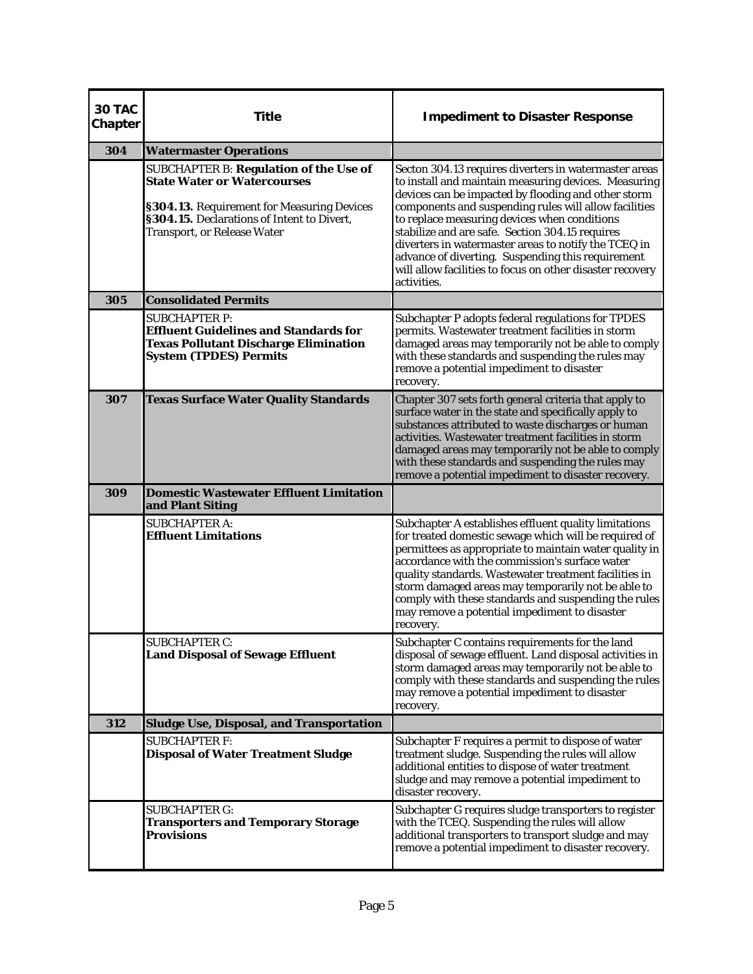| <b>30 TAC</b><br>Chapter | <b>Title</b>                                                                                                                                                                                                          | <b>Impediment to Disaster Response</b>                                                                                                                                                                                                                                                                                                                                                                                                                                                                                    |
|--------------------------|-----------------------------------------------------------------------------------------------------------------------------------------------------------------------------------------------------------------------|---------------------------------------------------------------------------------------------------------------------------------------------------------------------------------------------------------------------------------------------------------------------------------------------------------------------------------------------------------------------------------------------------------------------------------------------------------------------------------------------------------------------------|
| 304                      | <b>Watermaster Operations</b>                                                                                                                                                                                         |                                                                                                                                                                                                                                                                                                                                                                                                                                                                                                                           |
|                          | <b>SUBCHAPTER B: Regulation of the Use of</b><br><b>State Water or Watercourses</b><br>§304.13. Requirement for Measuring Devices<br>§304.15. Declarations of Intent to Divert,<br><b>Transport, or Release Water</b> | Secton 304.13 requires diverters in watermaster areas<br>to install and maintain measuring devices. Measuring<br>devices can be impacted by flooding and other storm<br>components and suspending rules will allow facilities<br>to replace measuring devices when conditions<br>stabilize and are safe. Section 304.15 requires<br>diverters in watermaster areas to notify the TCEQ in<br>advance of diverting. Suspending this requirement<br>will allow facilities to focus on other disaster recovery<br>activities. |
| 305                      | <b>Consolidated Permits</b>                                                                                                                                                                                           |                                                                                                                                                                                                                                                                                                                                                                                                                                                                                                                           |
|                          | <b>SUBCHAPTER P:</b><br><b>Effluent Guidelines and Standards for</b><br><b>Texas Pollutant Discharge Elimination</b><br><b>System (TPDES) Permits</b>                                                                 | Subchapter P adopts federal regulations for TPDES<br>permits. Wastewater treatment facilities in storm<br>damaged areas may temporarily not be able to comply<br>with these standards and suspending the rules may<br>remove a potential impediment to disaster<br>recovery.                                                                                                                                                                                                                                              |
| 307                      | <b>Texas Surface Water Quality Standards</b>                                                                                                                                                                          | Chapter 307 sets forth general criteria that apply to<br>surface water in the state and specifically apply to<br>substances attributed to waste discharges or human<br>activities. Wastewater treatment facilities in storm<br>damaged areas may temporarily not be able to comply<br>with these standards and suspending the rules may<br>remove a potential impediment to disaster recovery.                                                                                                                            |
| 309                      | <b>Domestic Wastewater Effluent Limitation</b><br>and Plant Siting                                                                                                                                                    |                                                                                                                                                                                                                                                                                                                                                                                                                                                                                                                           |
|                          | <b>SUBCHAPTER A:</b><br><b>Effluent Limitations</b>                                                                                                                                                                   | Subchapter A establishes effluent quality limitations<br>for treated domestic sewage which will be required of<br>permittees as appropriate to maintain water quality in<br>accordance with the commission's surface water<br>quality standards. Wastewater treatment facilities in<br>storm damaged areas may temporarily not be able to<br>comply with these standards and suspending the rules<br>may remove a potential impediment to disaster<br>recovery.                                                           |
|                          | <b>SUBCHAPTER C:</b><br><b>Land Disposal of Sewage Effluent</b>                                                                                                                                                       | Subchapter C contains requirements for the land<br>disposal of sewage effluent. Land disposal activities in<br>storm damaged areas may temporarily not be able to<br>comply with these standards and suspending the rules<br>may remove a potential impediment to disaster<br>recovery.                                                                                                                                                                                                                                   |
| 312                      | <b>Sludge Use, Disposal, and Transportation</b>                                                                                                                                                                       |                                                                                                                                                                                                                                                                                                                                                                                                                                                                                                                           |
|                          | <b>SUBCHAPTER F:</b><br><b>Disposal of Water Treatment Sludge</b>                                                                                                                                                     | Subchapter F requires a permit to dispose of water<br>treatment sludge. Suspending the rules will allow<br>additional entities to dispose of water treatment<br>sludge and may remove a potential impediment to<br>disaster recovery.                                                                                                                                                                                                                                                                                     |
|                          | <b>SUBCHAPTER G:</b><br><b>Transporters and Temporary Storage</b><br><b>Provisions</b>                                                                                                                                | Subchapter G requires sludge transporters to register<br>with the TCEQ. Suspending the rules will allow<br>additional transporters to transport sludge and may<br>remove a potential impediment to disaster recovery.                                                                                                                                                                                                                                                                                                     |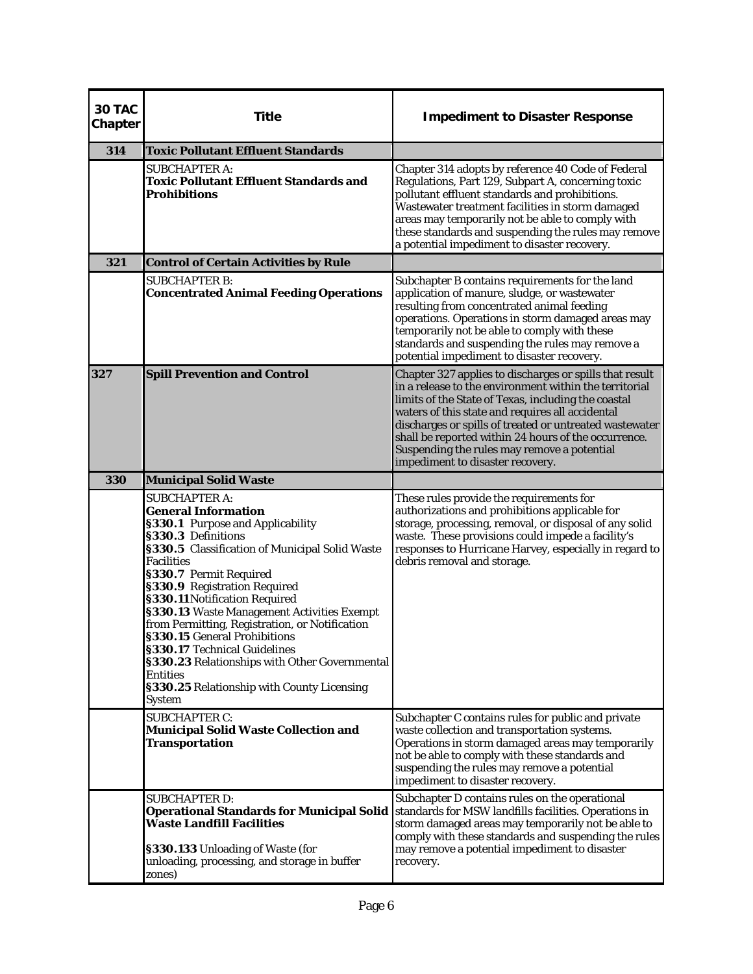| 30 TAC<br><b>Chapter</b> | <b>Title</b>                                                                                                                                                                                                                                                                                                                                                                                                                                                                                                                                                                      | <b>Impediment to Disaster Response</b>                                                                                                                                                                                                                                                                                                                                                                                             |
|--------------------------|-----------------------------------------------------------------------------------------------------------------------------------------------------------------------------------------------------------------------------------------------------------------------------------------------------------------------------------------------------------------------------------------------------------------------------------------------------------------------------------------------------------------------------------------------------------------------------------|------------------------------------------------------------------------------------------------------------------------------------------------------------------------------------------------------------------------------------------------------------------------------------------------------------------------------------------------------------------------------------------------------------------------------------|
| 314                      | <b>Toxic Pollutant Effluent Standards</b>                                                                                                                                                                                                                                                                                                                                                                                                                                                                                                                                         |                                                                                                                                                                                                                                                                                                                                                                                                                                    |
|                          | <b>SUBCHAPTER A:</b><br><b>Toxic Pollutant Effluent Standards and</b><br><b>Prohibitions</b>                                                                                                                                                                                                                                                                                                                                                                                                                                                                                      | Chapter 314 adopts by reference 40 Code of Federal<br>Regulations, Part 129, Subpart A, concerning toxic<br>pollutant effluent standards and prohibitions.<br>Wastewater treatment facilities in storm damaged<br>areas may temporarily not be able to comply with<br>these standards and suspending the rules may remove<br>a potential impediment to disaster recovery.                                                          |
| 321                      | <b>Control of Certain Activities by Rule</b>                                                                                                                                                                                                                                                                                                                                                                                                                                                                                                                                      |                                                                                                                                                                                                                                                                                                                                                                                                                                    |
|                          | <b>SUBCHAPTER B:</b><br><b>Concentrated Animal Feeding Operations</b>                                                                                                                                                                                                                                                                                                                                                                                                                                                                                                             | Subchapter B contains requirements for the land<br>application of manure, sludge, or wastewater<br>resulting from concentrated animal feeding<br>operations. Operations in storm damaged areas may<br>temporarily not be able to comply with these<br>standards and suspending the rules may remove a<br>potential impediment to disaster recovery.                                                                                |
| 327                      | <b>Spill Prevention and Control</b>                                                                                                                                                                                                                                                                                                                                                                                                                                                                                                                                               | Chapter 327 applies to discharges or spills that result<br>in a release to the environment within the territorial<br>limits of the State of Texas, including the coastal<br>waters of this state and requires all accidental<br>discharges or spills of treated or untreated wastewater<br>shall be reported within 24 hours of the occurrence.<br>Suspending the rules may remove a potential<br>impediment to disaster recovery. |
| 330                      | <b>Municipal Solid Waste</b>                                                                                                                                                                                                                                                                                                                                                                                                                                                                                                                                                      |                                                                                                                                                                                                                                                                                                                                                                                                                                    |
|                          | <b>SUBCHAPTER A:</b><br><b>General Information</b><br>§330.1 Purpose and Applicability<br>§330.3 Definitions<br>§330.5 Classification of Municipal Solid Waste<br><b>Facilities</b><br>§330.7 Permit Required<br>§330.9 Registration Required<br>§330.11 Notification Required<br>§330.13 Waste Management Activities Exempt<br>from Permitting, Registration, or Notification<br>§330.15 General Prohibitions<br>§330.17 Technical Guidelines<br>§330.23 Relationships with Other Governmental<br><b>Entities</b><br>§330.25 Relationship with County Licensing<br><b>System</b> | These rules provide the requirements for<br>authorizations and prohibitions applicable for<br>storage, processing, removal, or disposal of any solid<br>waste. These provisions could impede a facility's<br>responses to Hurricane Harvey, especially in regard to<br>debris removal and storage.                                                                                                                                 |
|                          | <b>SUBCHAPTER C:</b><br><b>Municipal Solid Waste Collection and</b><br><b>Transportation</b>                                                                                                                                                                                                                                                                                                                                                                                                                                                                                      | Subchapter C contains rules for public and private<br>waste collection and transportation systems.<br>Operations in storm damaged areas may temporarily<br>not be able to comply with these standards and<br>suspending the rules may remove a potential<br>impediment to disaster recovery.                                                                                                                                       |
|                          | <b>SUBCHAPTER D:</b><br><b>Operational Standards for Municipal Solid</b><br><b>Waste Landfill Facilities</b><br>§330.133 Unloading of Waste (for<br>unloading, processing, and storage in buffer<br>zones)                                                                                                                                                                                                                                                                                                                                                                        | Subchapter D contains rules on the operational<br>standards for MSW landfills facilities. Operations in<br>storm damaged areas may temporarily not be able to<br>comply with these standards and suspending the rules<br>may remove a potential impediment to disaster<br>recovery.                                                                                                                                                |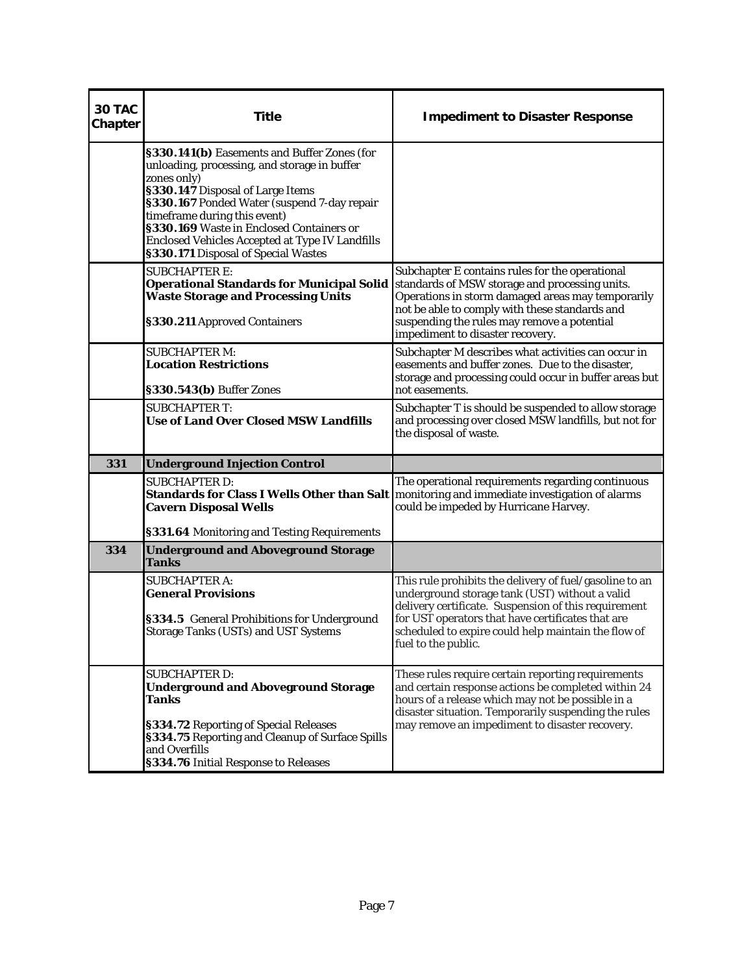| 30 TAC<br>Chapter | <b>Title</b>                                                                                                                                                                                                                                                                                                                                                               | <b>Impediment to Disaster Response</b>                                                                                                                                                                                                                                                               |
|-------------------|----------------------------------------------------------------------------------------------------------------------------------------------------------------------------------------------------------------------------------------------------------------------------------------------------------------------------------------------------------------------------|------------------------------------------------------------------------------------------------------------------------------------------------------------------------------------------------------------------------------------------------------------------------------------------------------|
|                   | §330.141(b) Easements and Buffer Zones (for<br>unloading, processing, and storage in buffer<br>zones only)<br>§330.147 Disposal of Large Items<br>§330.167 Ponded Water (suspend 7-day repair<br>timeframe during this event)<br>§330.169 Waste in Enclosed Containers or<br><b>Enclosed Vehicles Accepted at Type IV Landfills</b><br>§330.171 Disposal of Special Wastes |                                                                                                                                                                                                                                                                                                      |
|                   | <b>SUBCHAPTER E:</b><br><b>Operational Standards for Municipal Solid</b><br><b>Waste Storage and Processing Units</b><br>§330.211 Approved Containers                                                                                                                                                                                                                      | Subchapter E contains rules for the operational<br>standards of MSW storage and processing units.<br>Operations in storm damaged areas may temporarily<br>not be able to comply with these standards and<br>suspending the rules may remove a potential<br>impediment to disaster recovery.          |
|                   | <b>SUBCHAPTER M:</b><br><b>Location Restrictions</b><br>§330.543(b) Buffer Zones                                                                                                                                                                                                                                                                                           | Subchapter M describes what activities can occur in<br>easements and buffer zones. Due to the disaster,<br>storage and processing could occur in buffer areas but<br>not easements.                                                                                                                  |
|                   | <b>SUBCHAPTER T:</b><br><b>Use of Land Over Closed MSW Landfills</b>                                                                                                                                                                                                                                                                                                       | Subchapter T is should be suspended to allow storage<br>and processing over closed MSW landfills, but not for<br>the disposal of waste.                                                                                                                                                              |
| 331               | <b>Underground Injection Control</b>                                                                                                                                                                                                                                                                                                                                       |                                                                                                                                                                                                                                                                                                      |
|                   | <b>SUBCHAPTER D:</b><br><b>Cavern Disposal Wells</b><br>§331.64 Monitoring and Testing Requirements                                                                                                                                                                                                                                                                        | The operational requirements regarding continuous<br>Standards for Class I Wells Other than Salt   monitoring and immediate investigation of alarms<br>could be impeded by Hurricane Harvey.                                                                                                         |
| 334               | <b>Underground and Aboveground Storage</b><br><b>Tanks</b>                                                                                                                                                                                                                                                                                                                 |                                                                                                                                                                                                                                                                                                      |
|                   | <b>SUBCHAPTER A:</b><br><b>General Provisions</b><br>§334.5 General Prohibitions for Underground<br><b>Storage Tanks (USTs) and UST Systems</b>                                                                                                                                                                                                                            | This rule prohibits the delivery of fuel/gasoline to an<br>underground storage tank (UST) without a valid<br>delivery certificate. Suspension of this requirement<br>for UST operators that have certificates that are<br>scheduled to expire could help maintain the flow of<br>fuel to the public. |
|                   | <b>SUBCHAPTER D:</b><br><b>Underground and Aboveground Storage</b><br><b>Tanks</b><br>§334.72 Reporting of Special Releases<br>§334.75 Reporting and Cleanup of Surface Spills<br>and Overfills<br>§334.76 Initial Response to Releases                                                                                                                                    | These rules require certain reporting requirements<br>and certain response actions be completed within 24<br>hours of a release which may not be possible in a<br>disaster situation. Temporarily suspending the rules<br>may remove an impediment to disaster recovery.                             |